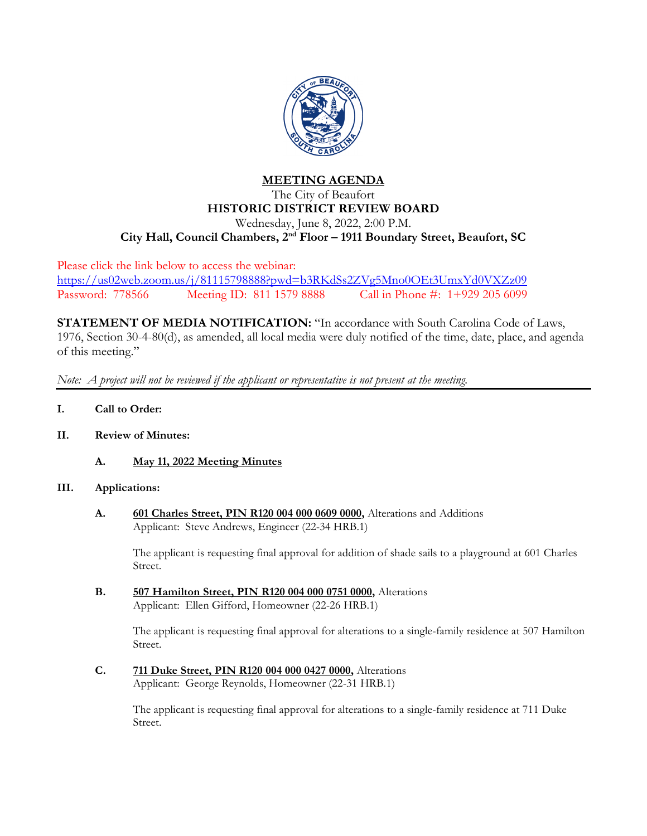

# **MEETING AGENDA** The City of Beaufort **HISTORIC DISTRICT REVIEW BOARD** Wednesday, June 8, 2022, 2:00 P.M. **City Hall, Council Chambers, 2nd Floor – 1911 Boundary Street, Beaufort, SC**

Please click the link below to access the webinar: <https://us02web.zoom.us/j/81115798888?pwd=b3RKdSs2ZVg5Mno0OEt3UmxYd0VXZz09> Password: 778566 Meeting ID: 811 1579 8888 Call in Phone #: 1+929 205 6099

**STATEMENT OF MEDIA NOTIFICATION:** "In accordance with South Carolina Code of Laws, 1976, Section 30-4-80(d), as amended, all local media were duly notified of the time, date, place, and agenda of this meeting."

*Note: A project will not be reviewed if the applicant or representative is not present at the meeting.*

- **I. Call to Order:**
- **II. Review of Minutes:**
	- **A. May 11, 2022 Meeting Minutes**

#### **III. Applications:**

**A. 601 Charles Street, PIN R120 004 000 0609 0000,** Alterations and Additions Applicant: Steve Andrews, Engineer (22-34 HRB.1)

The applicant is requesting final approval for addition of shade sails to a playground at 601 Charles Street.

**B. 507 Hamilton Street, PIN R120 004 000 0751 0000,** Alterations Applicant: Ellen Gifford, Homeowner (22-26 HRB.1)

> The applicant is requesting final approval for alterations to a single-family residence at 507 Hamilton Street.

**C. 711 Duke Street, PIN R120 004 000 0427 0000,** Alterations Applicant: George Reynolds, Homeowner (22-31 HRB.1)

> The applicant is requesting final approval for alterations to a single-family residence at 711 Duke Street.